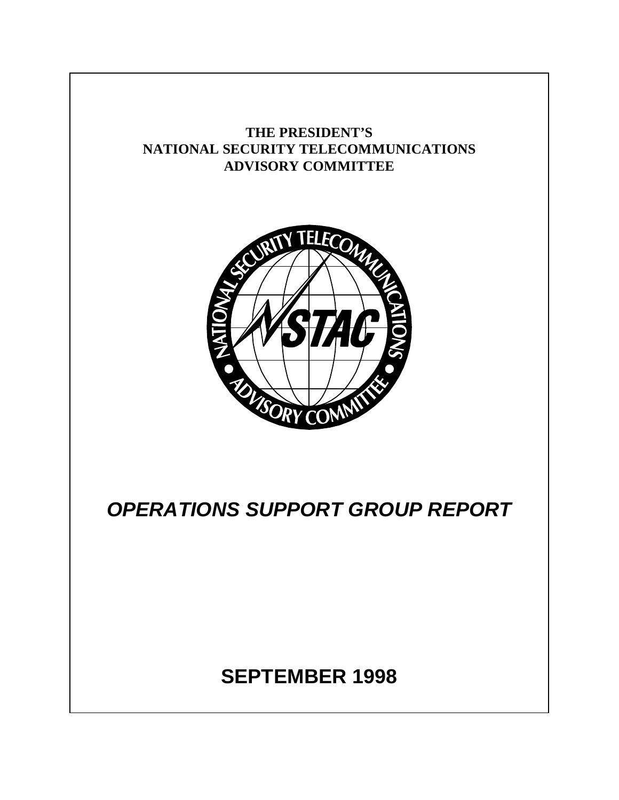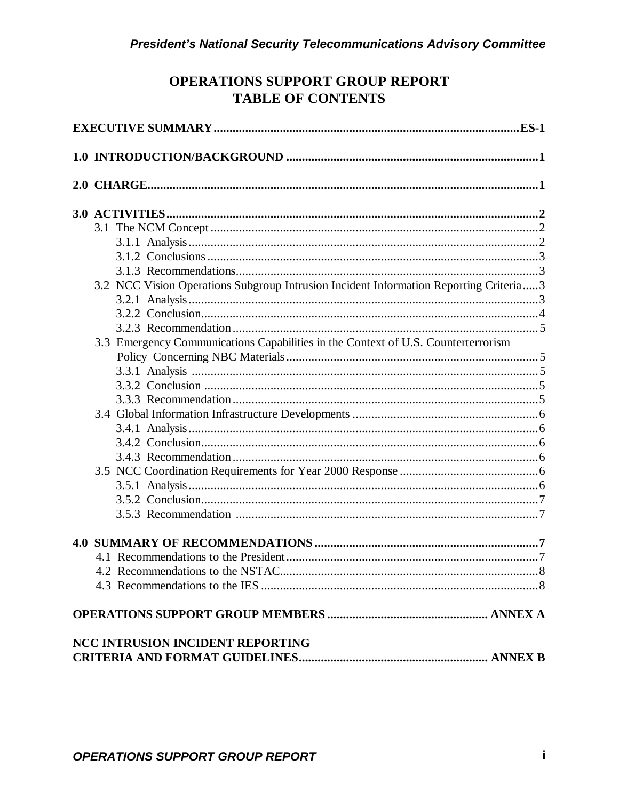# OPERATIONS SUPPORT GROUP REPORT **TABLE OF CONTENTS**

|  | 3.2 NCC Vision Operations Subgroup Intrusion Incident Information Reporting Criteria3 |  |  |
|--|---------------------------------------------------------------------------------------|--|--|
|  |                                                                                       |  |  |
|  |                                                                                       |  |  |
|  |                                                                                       |  |  |
|  | 3.3 Emergency Communications Capabilities in the Context of U.S. Counterterrorism     |  |  |
|  |                                                                                       |  |  |
|  |                                                                                       |  |  |
|  |                                                                                       |  |  |
|  |                                                                                       |  |  |
|  |                                                                                       |  |  |
|  |                                                                                       |  |  |
|  |                                                                                       |  |  |
|  |                                                                                       |  |  |
|  |                                                                                       |  |  |
|  |                                                                                       |  |  |
|  |                                                                                       |  |  |
|  |                                                                                       |  |  |
|  |                                                                                       |  |  |
|  |                                                                                       |  |  |
|  |                                                                                       |  |  |
|  |                                                                                       |  |  |
|  |                                                                                       |  |  |
|  | <b>NCC INTRUSION INCIDENT REPORTING</b>                                               |  |  |
|  |                                                                                       |  |  |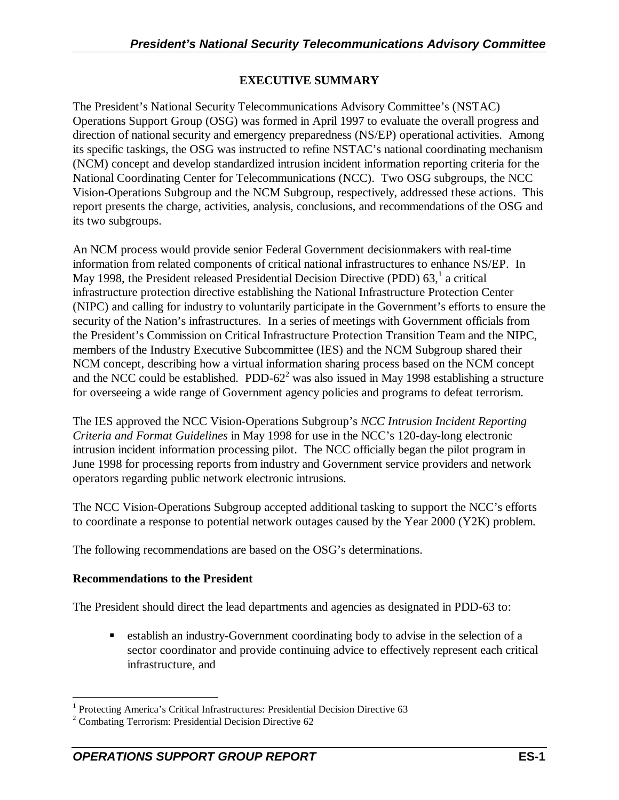#### **EXECUTIVE SUMMARY**

<span id="page-2-0"></span>The President's National Security Telecommunications Advisory Committee's (NSTAC) Operations Support Group (OSG) was formed in April 1997 to evaluate the overall progress and direction of national security and emergency preparedness (NS/EP) operational activities. Among its specific taskings, the OSG was instructed to refine NSTAC's national coordinating mechanism (NCM) concept and develop standardized intrusion incident information reporting criteria for the National Coordinating Center for Telecommunications (NCC). Two OSG subgroups, the NCC Vision-Operations Subgroup and the NCM Subgroup, respectively, addressed these actions. This report presents the charge, activities, analysis, conclusions, and recommendations of the OSG and its two subgroups.

An NCM process would provide senior Federal Government decisionmakers with real-time information from related components of critical national infrastructures to enhance NS/EP. In May 1998, the President released Presidential Decision Directive (PDD)  $63<sup>1</sup>$ , a critical infrastructure protection directive establishing the National Infrastructure Protection Center (NIPC) and calling for industry to voluntarily participate in the Government's efforts to ensure the security of the Nation's infrastructures. In a series of meetings with Government officials from the President's Commission on Critical Infrastructure Protection Transition Team and the NIPC, members of the Industry Executive Subcommittee (IES) and the NCM Subgroup shared their NCM concept, describing how a virtual information sharing process based on the NCM concept and the NCC could be established. PDD-62 $2^2$  was also issued in May 1998 establishing a structure for overseeing a wide range of Government agency policies and programs to defeat terrorism.

The IES approved the NCC Vision-Operations Subgroup's *NCC Intrusion Incident Reporting Criteria and Format Guidelines* in May 1998 for use in the NCC's 120-day-long electronic intrusion incident information processing pilot. The NCC officially began the pilot program in June 1998 for processing reports from industry and Government service providers and network operators regarding public network electronic intrusions.

The NCC Vision-Operations Subgroup accepted additional tasking to support the NCC's efforts to coordinate a response to potential network outages caused by the Year 2000 (Y2K) problem.

The following recommendations are based on the OSG's determinations.

#### **Recommendations to the President**

 $\overline{a}$ 

The President should direct the lead departments and agencies as designated in PDD-63 to:

**Example 3** establish an industry-Government coordinating body to advise in the selection of a sector coordinator and provide continuing advice to effectively represent each critical infrastructure, and

<sup>&</sup>lt;sup>1</sup> Protecting America's Critical Infrastructures: Presidential Decision Directive 63

<sup>&</sup>lt;sup>2</sup> Combating Terrorism: Presidential Decision Directive 62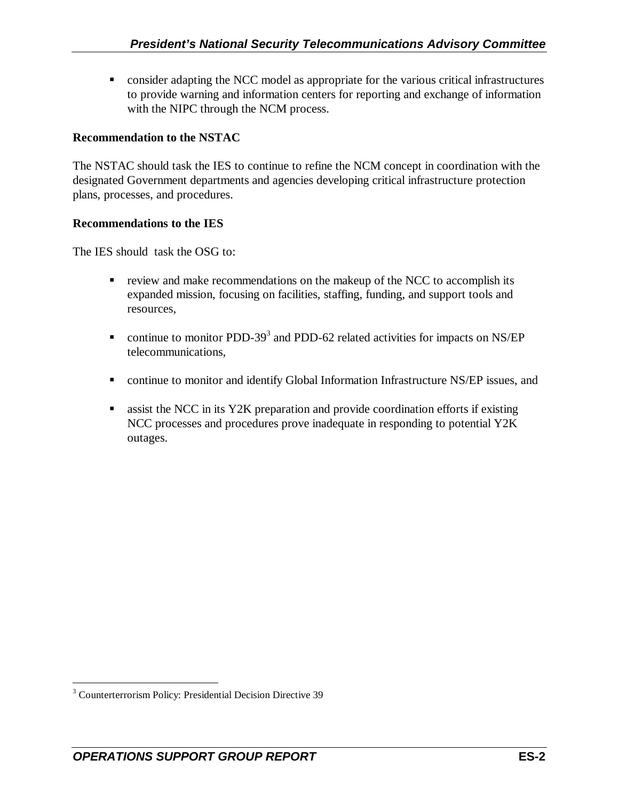• consider adapting the NCC model as appropriate for the various critical infrastructures to provide warning and information centers for reporting and exchange of information with the NIPC through the NCM process.

#### **Recommendation to the NSTAC**

The NSTAC should task the IES to continue to refine the NCM concept in coordination with the designated Government departments and agencies developing critical infrastructure protection plans, processes, and procedures.

#### **Recommendations to the IES**

The IES should task the OSG to:

- ß review and make recommendations on the makeup of the NCC to accomplish its expanded mission, focusing on facilities, staffing, funding, and support tools and resources,
- continue to monitor PDD-39<sup>3</sup> and PDD-62 related activities for impacts on NS/EP telecommunications,
- **•** continue to monitor and identify Global Information Infrastructure NS/EP issues, and
- $\blacksquare$  assist the NCC in its Y2K preparation and provide coordination efforts if existing NCC processes and procedures prove inadequate in responding to potential Y2K outages.

 $\overline{a}$ 

<sup>&</sup>lt;sup>3</sup> Counterterrorism Policy: Presidential Decision Directive 39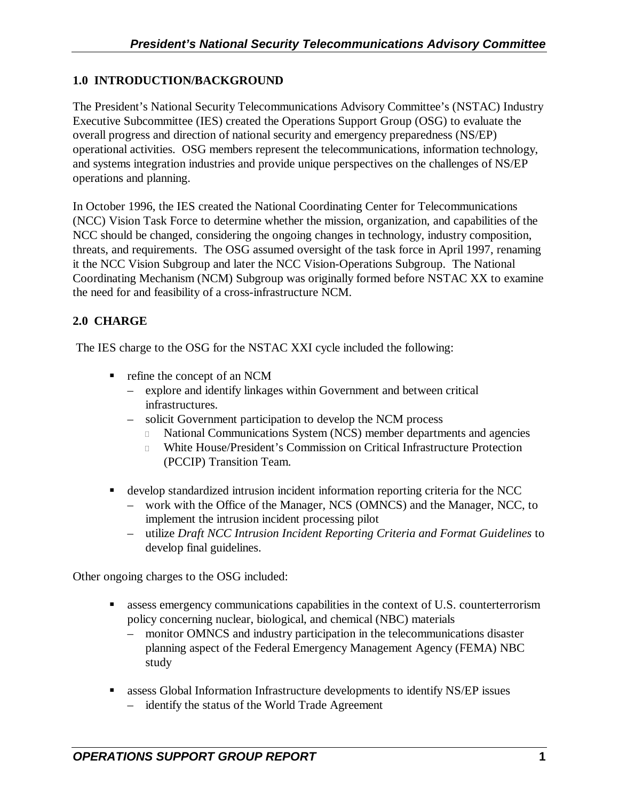#### <span id="page-4-0"></span>**1.0 INTRODUCTION/BACKGROUND**

The President's National Security Telecommunications Advisory Committee's (NSTAC) Industry Executive Subcommittee (IES) created the Operations Support Group (OSG) to evaluate the overall progress and direction of national security and emergency preparedness (NS/EP) operational activities. OSG members represent the telecommunications, information technology, and systems integration industries and provide unique perspectives on the challenges of NS/EP operations and planning.

In October 1996, the IES created the National Coordinating Center for Telecommunications (NCC) Vision Task Force to determine whether the mission, organization, and capabilities of the NCC should be changed, considering the ongoing changes in technology, industry composition, threats, and requirements. The OSG assumed oversight of the task force in April 1997, renaming it the NCC Vision Subgroup and later the NCC Vision-Operations Subgroup. The National Coordinating Mechanism (NCM) Subgroup was originally formed before NSTAC XX to examine the need for and feasibility of a cross-infrastructure NCM.

## <span id="page-4-1"></span>**2.0 CHARGE**

The IES charge to the OSG for the NSTAC XXI cycle included the following:

- $\blacksquare$  refine the concept of an NCM
	- explore and identify linkages within Government and between critical infrastructures.
	- solicit Government participation to develop the NCM process
		- ® National Communications System (NCS) member departments and agencies
		- ® White House/President's Commission on Critical Infrastructure Protection (PCCIP) Transition Team.
- **develop standardized intrusion incident information reporting criteria for the NCC** 
	- work with the Office of the Manager, NCS (OMNCS) and the Manager, NCC, to implement the intrusion incident processing pilot
	- utilize *Draft NCC Intrusion Incident Reporting Criteria and Format Guidelines* to develop final guidelines.

Other ongoing charges to the OSG included:

- **Example 3** assess emergency communications capabilities in the context of U.S. counterterrorism policy concerning nuclear, biological, and chemical (NBC) materials
	- monitor OMNCS and industry participation in the telecommunications disaster planning aspect of the Federal Emergency Management Agency (FEMA) NBC study
- **Exercise** assess Global Information Infrastructure developments to identify NS/EP issues
	- identify the status of the World Trade Agreement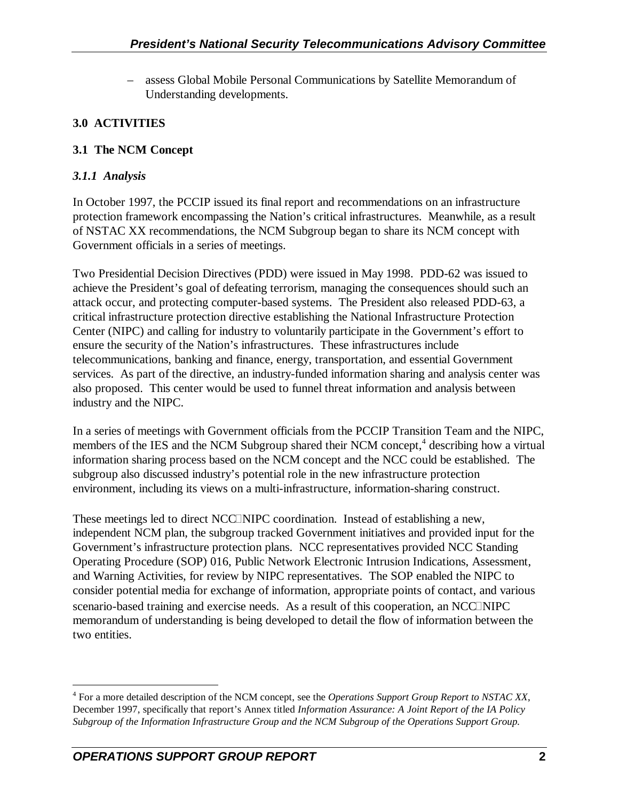– assess Global Mobile Personal Communications by Satellite Memorandum of Understanding developments.

# <span id="page-5-0"></span>**3.0 ACTIVITIES**

## **3.1 The NCM Concept**

## *3.1.1 Analysis*

In October 1997, the PCCIP issued its final report and recommendations on an infrastructure protection framework encompassing the Nation's critical infrastructures. Meanwhile, as a result of NSTAC XX recommendations, the NCM Subgroup began to share its NCM concept with Government officials in a series of meetings.

Two Presidential Decision Directives (PDD) were issued in May 1998. PDD-62 was issued to achieve the President's goal of defeating terrorism, managing the consequences should such an attack occur, and protecting computer-based systems. The President also released PDD-63, a critical infrastructure protection directive establishing the National Infrastructure Protection Center (NIPC) and calling for industry to voluntarily participate in the Government's effort to ensure the security of the Nation's infrastructures. These infrastructures include telecommunications, banking and finance, energy, transportation, and essential Government services. As part of the directive, an industry-funded information sharing and analysis center was also proposed. This center would be used to funnel threat information and analysis between industry and the NIPC.

In a series of meetings with Government officials from the PCCIP Transition Team and the NIPC, members of the IES and the NCM Subgroup shared their NCM concept,<sup>4</sup> describing how a virtual information sharing process based on the NCM concept and the NCC could be established. The subgroup also discussed industry's potential role in the new infrastructure protection environment, including its views on a multi-infrastructure, information-sharing construct.

These meetings led to direct NCC-NIPC coordination. Instead of establishing a new, independent NCM plan, the subgroup tracked Government initiatives and provided input for the Government's infrastructure protection plans. NCC representatives provided NCC Standing Operating Procedure (SOP) 016, Public Network Electronic Intrusion Indications, Assessment, and Warning Activities, for review by NIPC representatives. The SOP enabled the NIPC to consider potential media for exchange of information, appropriate points of contact, and various scenario-based training and exercise needs. As a result of this cooperation, an NCC-NIPC memorandum of understanding is being developed to detail the flow of information between the two entities.

 $\overline{a}$ 

<sup>4</sup> For a more detailed description of the NCM concept, see the *Operations Support Group Report to NSTAC XX*, December 1997, specifically that report's Annex titled *Information Assurance: A Joint Report of the IA Policy Subgroup of the Information Infrastructure Group and the NCM Subgroup of the Operations Support Group.*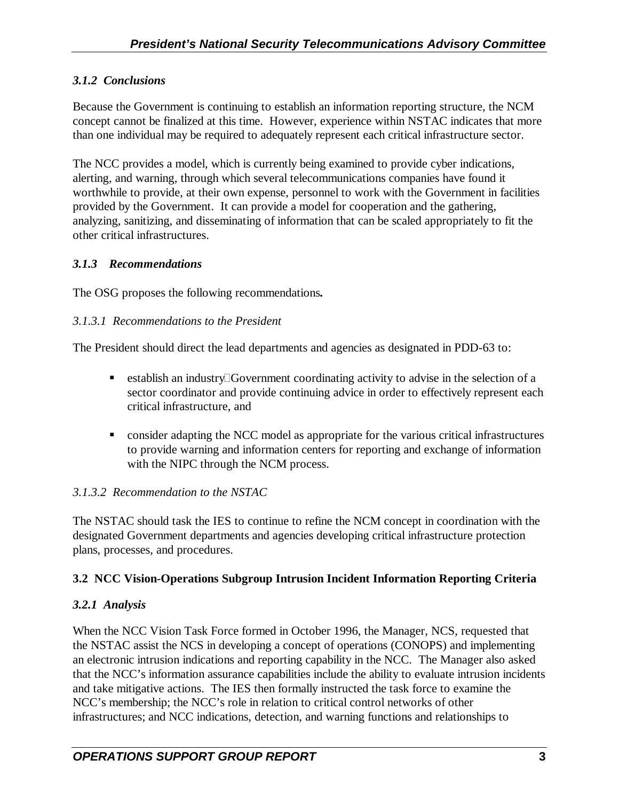# *3.1.2 Conclusions*

Because the Government is continuing to establish an information reporting structure, the NCM concept cannot be finalized at this time. However, experience within NSTAC indicates that more than one individual may be required to adequately represent each critical infrastructure sector.

The NCC provides a model, which is currently being examined to provide cyber indications, alerting, and warning, through which several telecommunications companies have found it worthwhile to provide, at their own expense, personnel to work with the Government in facilities provided by the Government. It can provide a model for cooperation and the gathering, analyzing, sanitizing, and disseminating of information that can be scaled appropriately to fit the other critical infrastructures.

## *3.1.3 Recommendations*

The OSG proposes the following recommendations*.*

## *3.1.3.1 Recommendations to the President*

The President should direct the lead departments and agencies as designated in PDD-63 to:

- **Example 1** establish an industry-Government coordinating activity to advise in the selection of a sector coordinator and provide continuing advice in order to effectively represent each critical infrastructure, and
- consider adapting the NCC model as appropriate for the various critical infrastructures to provide warning and information centers for reporting and exchange of information with the NIPC through the NCM process.

## *3.1.3.2 Recommendation to the NSTAC*

The NSTAC should task the IES to continue to refine the NCM concept in coordination with the designated Government departments and agencies developing critical infrastructure protection plans, processes, and procedures.

## **3.2 NCC Vision-Operations Subgroup Intrusion Incident Information Reporting Criteria**

## *3.2.1 Analysis*

When the NCC Vision Task Force formed in October 1996, the Manager, NCS, requested that the NSTAC assist the NCS in developing a concept of operations (CONOPS) and implementing an electronic intrusion indications and reporting capability in the NCC. The Manager also asked that the NCC's information assurance capabilities include the ability to evaluate intrusion incidents and take mitigative actions. The IES then formally instructed the task force to examine the NCC's membership; the NCC's role in relation to critical control networks of other infrastructures; and NCC indications, detection, and warning functions and relationships to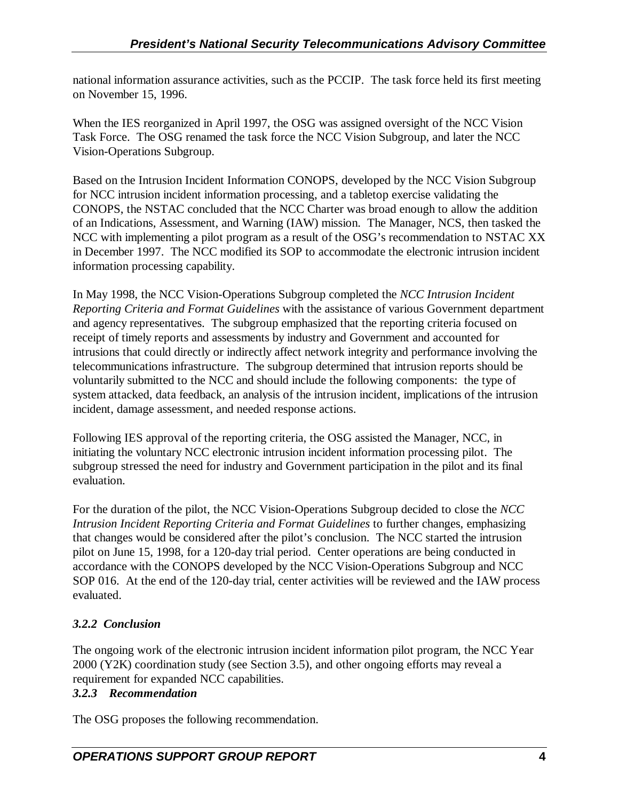national information assurance activities, such as the PCCIP. The task force held its first meeting on November 15, 1996.

When the IES reorganized in April 1997, the OSG was assigned oversight of the NCC Vision Task Force. The OSG renamed the task force the NCC Vision Subgroup, and later the NCC Vision-Operations Subgroup.

Based on the Intrusion Incident Information CONOPS, developed by the NCC Vision Subgroup for NCC intrusion incident information processing, and a tabletop exercise validating the CONOPS, the NSTAC concluded that the NCC Charter was broad enough to allow the addition of an Indications, Assessment, and Warning (IAW) mission. The Manager, NCS, then tasked the NCC with implementing a pilot program as a result of the OSG's recommendation to NSTAC XX in December 1997. The NCC modified its SOP to accommodate the electronic intrusion incident information processing capability.

In May 1998, the NCC Vision-Operations Subgroup completed the *NCC Intrusion Incident Reporting Criteria and Format Guidelines* with the assistance of various Government department and agency representatives. The subgroup emphasized that the reporting criteria focused on receipt of timely reports and assessments by industry and Government and accounted for intrusions that could directly or indirectly affect network integrity and performance involving the telecommunications infrastructure. The subgroup determined that intrusion reports should be voluntarily submitted to the NCC and should include the following components: the type of system attacked, data feedback, an analysis of the intrusion incident, implications of the intrusion incident, damage assessment, and needed response actions.

Following IES approval of the reporting criteria, the OSG assisted the Manager, NCC, in initiating the voluntary NCC electronic intrusion incident information processing pilot. The subgroup stressed the need for industry and Government participation in the pilot and its final evaluation.

For the duration of the pilot, the NCC Vision-Operations Subgroup decided to close the *NCC Intrusion Incident Reporting Criteria and Format Guidelines* to further changes, emphasizing that changes would be considered after the pilot's conclusion. The NCC started the intrusion pilot on June 15, 1998, for a 120-day trial period. Center operations are being conducted in accordance with the CONOPS developed by the NCC Vision-Operations Subgroup and NCC SOP 016. At the end of the 120-day trial, center activities will be reviewed and the IAW process evaluated.

# *3.2.2 Conclusion*

The ongoing work of the electronic intrusion incident information pilot program, the NCC Year 2000 (Y2K) coordination study (see Section 3.5), and other ongoing efforts may reveal a requirement for expanded NCC capabilities.

## *3.2.3 Recommendation*

The OSG proposes the following recommendation.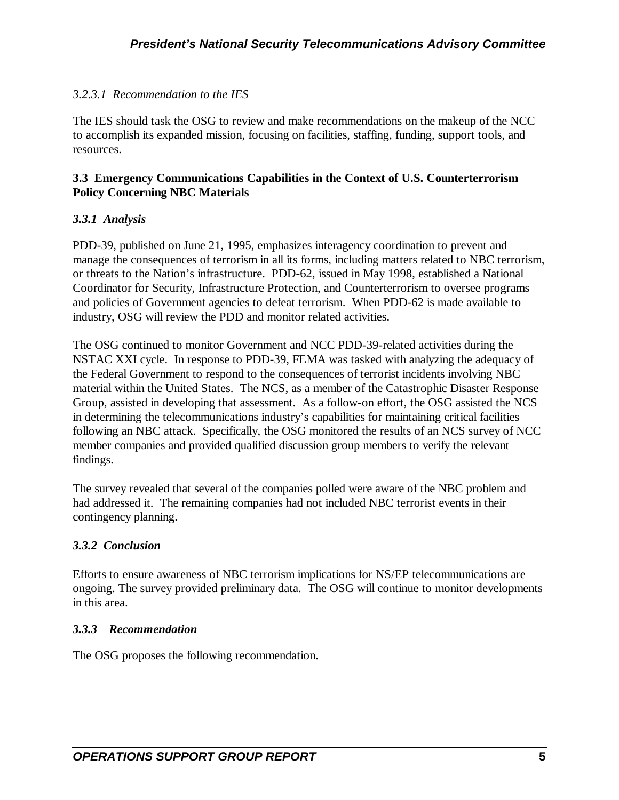#### *3.2.3.1 Recommendation to the IES*

The IES should task the OSG to review and make recommendations on the makeup of the NCC to accomplish its expanded mission, focusing on facilities, staffing, funding, support tools, and resources.

#### **3.3 Emergency Communications Capabilities in the Context of U.S. Counterterrorism Policy Concerning NBC Materials**

## *3.3.1 Analysis*

PDD-39, published on June 21, 1995, emphasizes interagency coordination to prevent and manage the consequences of terrorism in all its forms, including matters related to NBC terrorism, or threats to the Nation's infrastructure. PDD-62, issued in May 1998, established a National Coordinator for Security, Infrastructure Protection, and Counterterrorism to oversee programs and policies of Government agencies to defeat terrorism. When PDD-62 is made available to industry, OSG will review the PDD and monitor related activities.

The OSG continued to monitor Government and NCC PDD-39-related activities during the NSTAC XXI cycle. In response to PDD-39, FEMA was tasked with analyzing the adequacy of the Federal Government to respond to the consequences of terrorist incidents involving NBC material within the United States. The NCS, as a member of the Catastrophic Disaster Response Group, assisted in developing that assessment. As a follow-on effort, the OSG assisted the NCS in determining the telecommunications industry's capabilities for maintaining critical facilities following an NBC attack. Specifically, the OSG monitored the results of an NCS survey of NCC member companies and provided qualified discussion group members to verify the relevant findings.

The survey revealed that several of the companies polled were aware of the NBC problem and had addressed it. The remaining companies had not included NBC terrorist events in their contingency planning.

#### *3.3.2 Conclusion*

Efforts to ensure awareness of NBC terrorism implications for NS/EP telecommunications are ongoing. The survey provided preliminary data. The OSG will continue to monitor developments in this area.

#### *3.3.3 Recommendation*

The OSG proposes the following recommendation.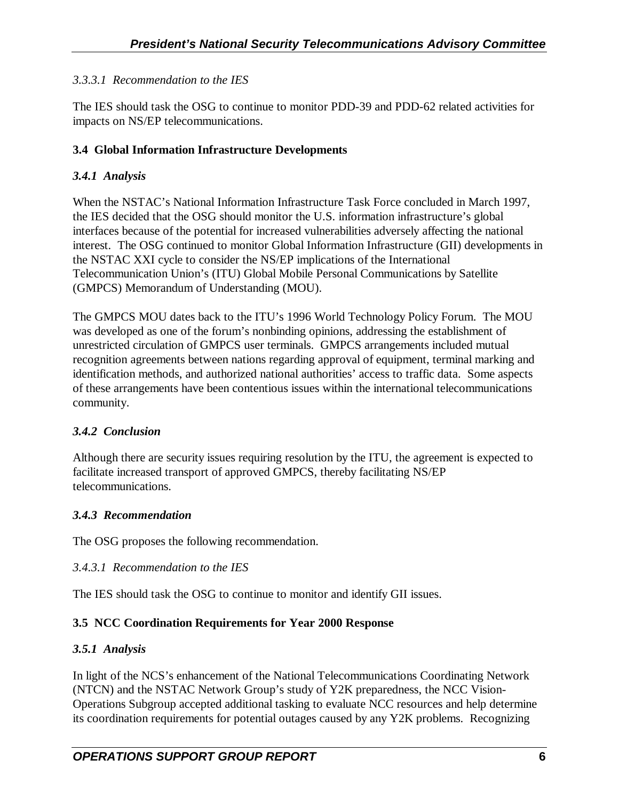#### *3.3.3.1 Recommendation to the IES*

The IES should task the OSG to continue to monitor PDD-39 and PDD-62 related activities for impacts on NS/EP telecommunications.

#### **3.4 Global Information Infrastructure Developments**

#### *3.4.1 Analysis*

When the NSTAC's National Information Infrastructure Task Force concluded in March 1997, the IES decided that the OSG should monitor the U.S. information infrastructure's global interfaces because of the potential for increased vulnerabilities adversely affecting the national interest. The OSG continued to monitor Global Information Infrastructure (GII) developments in the NSTAC XXI cycle to consider the NS/EP implications of the International Telecommunication Union's (ITU) Global Mobile Personal Communications by Satellite (GMPCS) Memorandum of Understanding (MOU).

The GMPCS MOU dates back to the ITU's 1996 World Technology Policy Forum. The MOU was developed as one of the forum's nonbinding opinions, addressing the establishment of unrestricted circulation of GMPCS user terminals. GMPCS arrangements included mutual recognition agreements between nations regarding approval of equipment, terminal marking and identification methods, and authorized national authorities' access to traffic data. Some aspects of these arrangements have been contentious issues within the international telecommunications community.

#### *3.4.2 Conclusion*

Although there are security issues requiring resolution by the ITU, the agreement is expected to facilitate increased transport of approved GMPCS, thereby facilitating NS/EP telecommunications.

#### *3.4.3 Recommendation*

The OSG proposes the following recommendation.

#### *3.4.3.1 Recommendation to the IES*

The IES should task the OSG to continue to monitor and identify GII issues.

#### **3.5 NCC Coordination Requirements for Year 2000 Response**

#### *3.5.1 Analysis*

In light of the NCS's enhancement of the National Telecommunications Coordinating Network (NTCN) and the NSTAC Network Group's study of Y2K preparedness, the NCC Vision-Operations Subgroup accepted additional tasking to evaluate NCC resources and help determine its coordination requirements for potential outages caused by any Y2K problems. Recognizing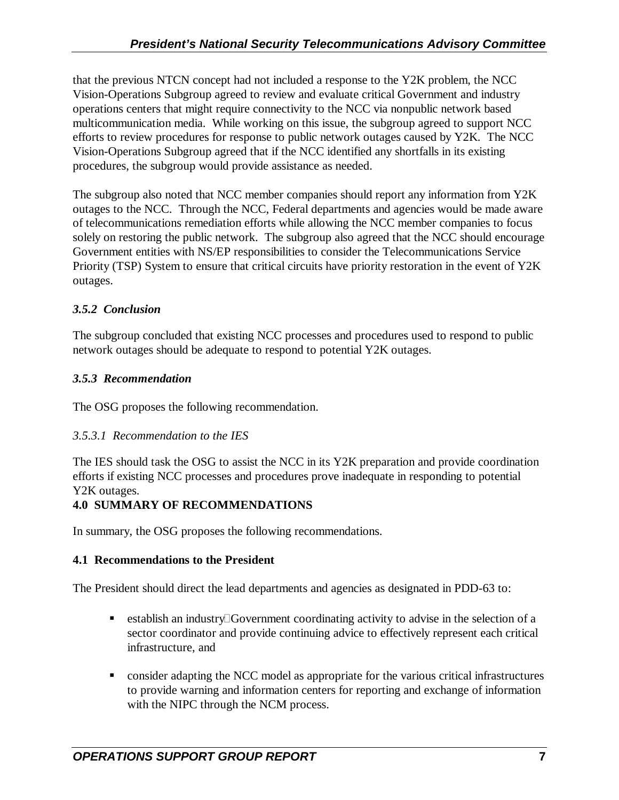that the previous NTCN concept had not included a response to the Y2K problem, the NCC Vision-Operations Subgroup agreed to review and evaluate critical Government and industry operations centers that might require connectivity to the NCC via nonpublic network based multicommunication media. While working on this issue, the subgroup agreed to support NCC efforts to review procedures for response to public network outages caused by Y2K. The NCC Vision-Operations Subgroup agreed that if the NCC identified any shortfalls in its existing procedures, the subgroup would provide assistance as needed.

The subgroup also noted that NCC member companies should report any information from Y2K outages to the NCC. Through the NCC, Federal departments and agencies would be made aware of telecommunications remediation efforts while allowing the NCC member companies to focus solely on restoring the public network. The subgroup also agreed that the NCC should encourage Government entities with NS/EP responsibilities to consider the Telecommunications Service Priority (TSP) System to ensure that critical circuits have priority restoration in the event of Y2K outages.

# <span id="page-10-0"></span>*3.5.2 Conclusion*

The subgroup concluded that existing NCC processes and procedures used to respond to public network outages should be adequate to respond to potential Y2K outages.

## *3.5.3 Recommendation*

The OSG proposes the following recommendation.

## *3.5.3.1 Recommendation to the IES*

The IES should task the OSG to assist the NCC in its Y2K preparation and provide coordination efforts if existing NCC processes and procedures prove inadequate in responding to potential Y2K outages.

## **4.0 SUMMARY OF RECOMMENDATIONS**

In summary, the OSG proposes the following recommendations.

## **4.1 Recommendations to the President**

The President should direct the lead departments and agencies as designated in PDD-63 to:

- **Example 1** establish an industry-Government coordinating activity to advise in the selection of a sector coordinator and provide continuing advice to effectively represent each critical infrastructure, and
- consider adapting the NCC model as appropriate for the various critical infrastructures to provide warning and information centers for reporting and exchange of information with the NIPC through the NCM process.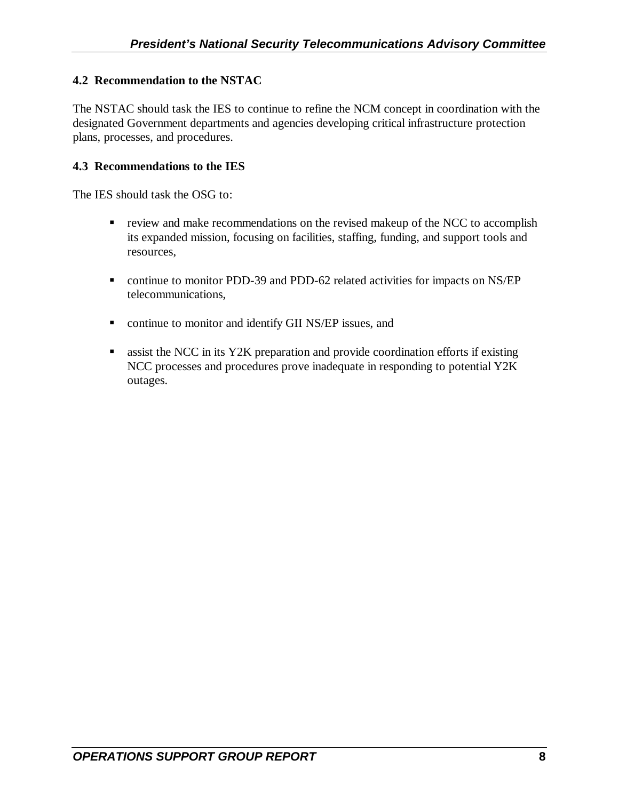## **4.2 Recommendation to the NSTAC**

The NSTAC should task the IES to continue to refine the NCM concept in coordination with the designated Government departments and agencies developing critical infrastructure protection plans, processes, and procedures.

#### **4.3 Recommendations to the IES**

The IES should task the OSG to:

- review and make recommendations on the revised makeup of the NCC to accomplish its expanded mission, focusing on facilities, staffing, funding, and support tools and resources,
- continue to monitor PDD-39 and PDD-62 related activities for impacts on NS/EP telecommunications,
- **•** continue to monitor and identify GII NS/EP issues, and
- $\blacksquare$  assist the NCC in its Y2K preparation and provide coordination efforts if existing NCC processes and procedures prove inadequate in responding to potential Y2K outages.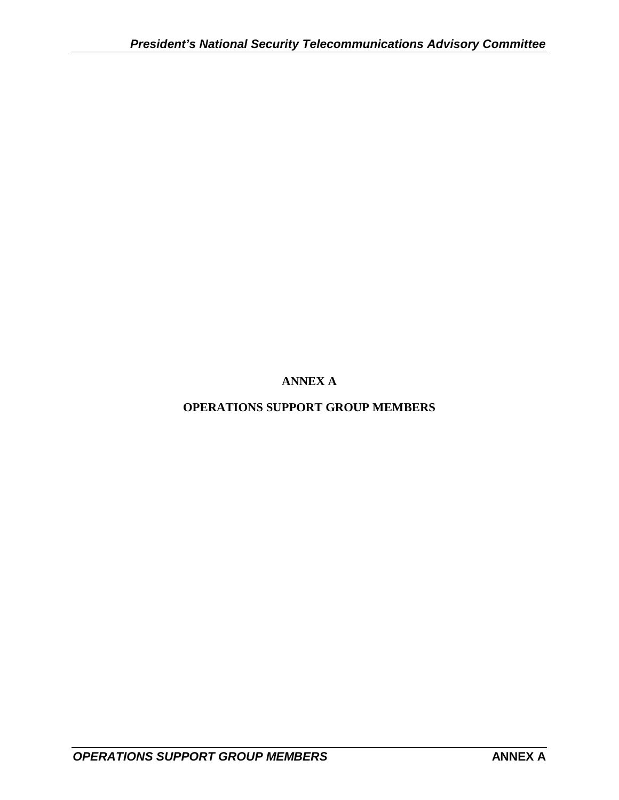**ANNEX A**

<span id="page-12-0"></span>**OPERATIONS SUPPORT GROUP MEMBERS**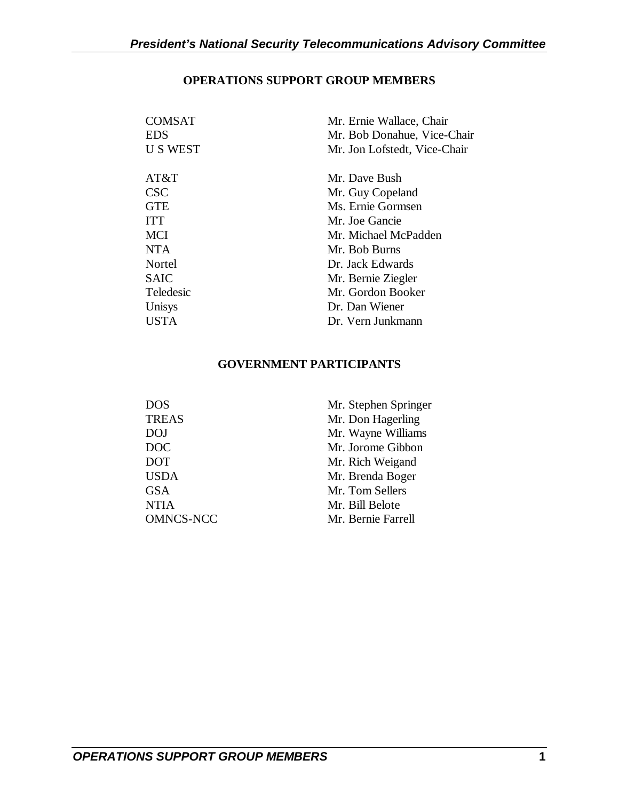## **OPERATIONS SUPPORT GROUP MEMBERS**

| <b>COMSAT</b><br>EDS<br><b>US WEST</b> | Mr. Ernie Wallace, Chair<br>Mr. Bob Donahue, Vice-Chair<br>Mr. Jon Lofstedt, Vice-Chair |
|----------------------------------------|-----------------------------------------------------------------------------------------|
| AT&T                                   | Mr. Dave Bush                                                                           |
| <b>CSC</b>                             | Mr. Guy Copeland                                                                        |
| <b>GTE</b>                             | Ms. Ernie Gormsen                                                                       |
| <b>TTT</b>                             | Mr. Joe Gancie                                                                          |
| <b>MCI</b>                             | Mr. Michael McPadden                                                                    |
| <b>NTA</b>                             | Mr. Bob Burns                                                                           |
| Nortel                                 | Dr. Jack Edwards                                                                        |
| <b>SAIC</b>                            | Mr. Bernie Ziegler                                                                      |
| Teledesic                              | Mr. Gordon Booker                                                                       |
| Unisys                                 | Dr. Dan Wiener                                                                          |
| USTA                                   | Dr. Vern Junkmann                                                                       |
|                                        |                                                                                         |

#### **GOVERNMENT PARTICIPANTS**

| <b>DOS</b>       | Mr. Stephen Springer |
|------------------|----------------------|
| <b>TREAS</b>     | Mr. Don Hagerling    |
| <b>DOJ</b>       | Mr. Wayne Williams   |
| <b>DOC</b>       | Mr. Jorome Gibbon    |
| <b>DOT</b>       | Mr. Rich Weigand     |
| <b>USDA</b>      | Mr. Brenda Boger     |
| <b>GSA</b>       | Mr. Tom Sellers      |
| <b>NTIA</b>      | Mr. Bill Belote      |
| <b>OMNCS-NCC</b> | Mr. Bernie Farrell   |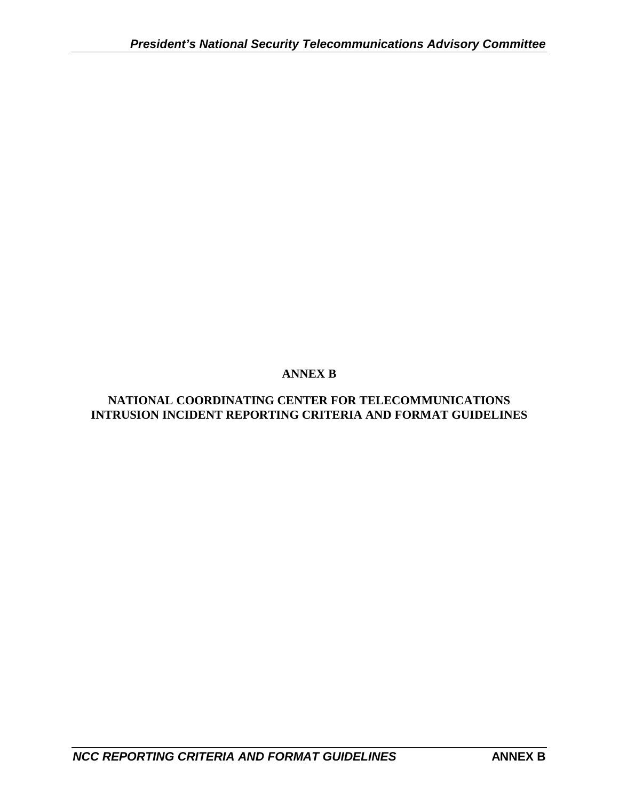## **ANNEX B**

## <span id="page-14-0"></span>**NATIONAL COORDINATING CENTER FOR TELECOMMUNICATIONS INTRUSION INCIDENT REPORTING CRITERIA AND FORMAT GUIDELINES**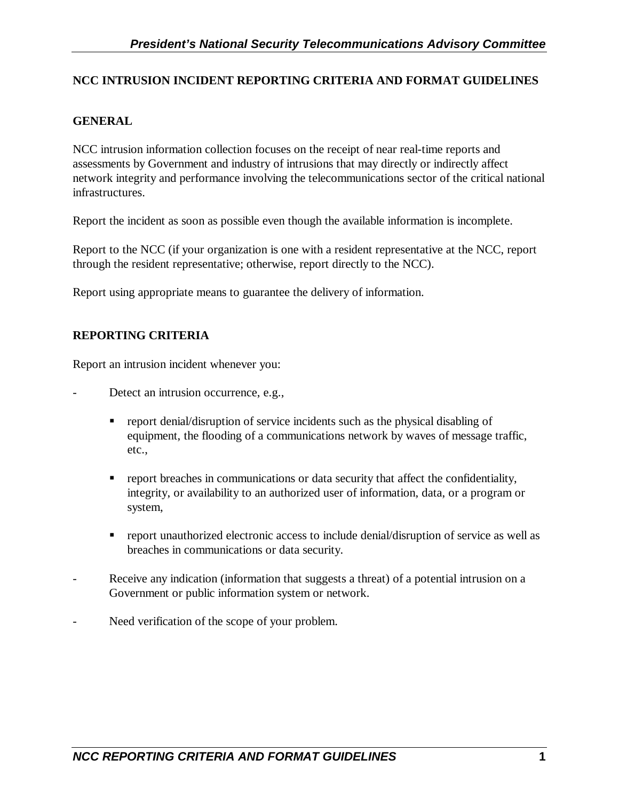#### **NCC INTRUSION INCIDENT REPORTING CRITERIA AND FORMAT GUIDELINES**

#### **GENERAL**

NCC intrusion information collection focuses on the receipt of near real-time reports and assessments by Government and industry of intrusions that may directly or indirectly affect network integrity and performance involving the telecommunications sector of the critical national infrastructures.

Report the incident as soon as possible even though the available information is incomplete.

Report to the NCC (if your organization is one with a resident representative at the NCC, report through the resident representative; otherwise, report directly to the NCC).

Report using appropriate means to guarantee the delivery of information.

#### **REPORTING CRITERIA**

Report an intrusion incident whenever you:

- Detect an intrusion occurrence, e.g.,
	- **•** report denial/disruption of service incidents such as the physical disabling of equipment, the flooding of a communications network by waves of message traffic, etc.,
	- report breaches in communications or data security that affect the confidentiality, integrity, or availability to an authorized user of information, data, or a program or system,
	- **•** report unauthorized electronic access to include denial/disruption of service as well as breaches in communications or data security.
- Receive any indication (information that suggests a threat) of a potential intrusion on a Government or public information system or network.
- Need verification of the scope of your problem.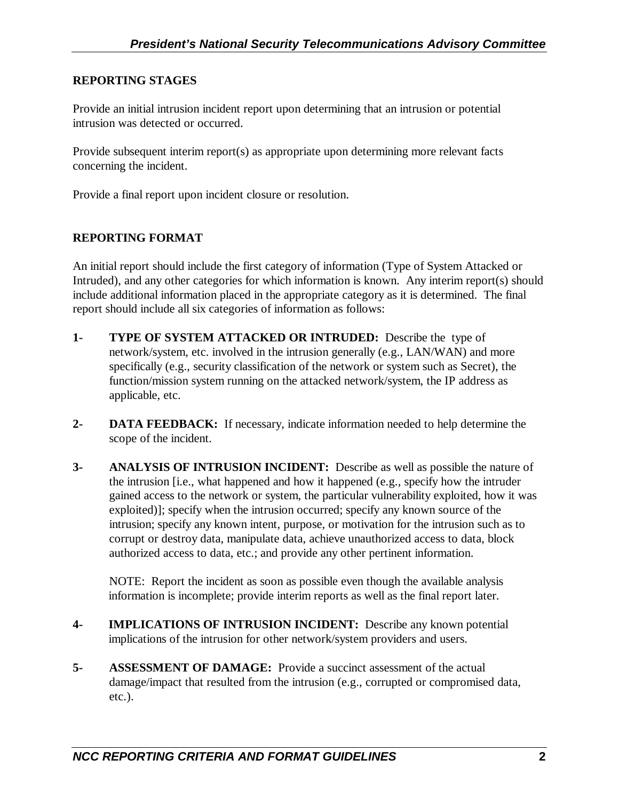#### **REPORTING STAGES**

Provide an initial intrusion incident report upon determining that an intrusion or potential intrusion was detected or occurred.

Provide subsequent interim report(s) as appropriate upon determining more relevant facts concerning the incident.

Provide a final report upon incident closure or resolution.

#### **REPORTING FORMAT**

An initial report should include the first category of information (Type of System Attacked or Intruded), and any other categories for which information is known. Any interim report(s) should include additional information placed in the appropriate category as it is determined. The final report should include all six categories of information as follows:

- **1- TYPE OF SYSTEM ATTACKED OR INTRUDED:** Describe the type of network/system, etc. involved in the intrusion generally (e.g., LAN/WAN) and more specifically (e.g., security classification of the network or system such as Secret), the function/mission system running on the attacked network/system, the IP address as applicable, etc.
- **2- DATA FEEDBACK:** If necessary, indicate information needed to help determine the scope of the incident.
- **3- ANALYSIS OF INTRUSION INCIDENT:** Describe as well as possible the nature of the intrusion [i.e., what happened and how it happened (e.g., specify how the intruder gained access to the network or system, the particular vulnerability exploited, how it was exploited)]; specify when the intrusion occurred; specify any known source of the intrusion; specify any known intent, purpose, or motivation for the intrusion such as to corrupt or destroy data, manipulate data, achieve unauthorized access to data, block authorized access to data, etc.; and provide any other pertinent information.

NOTE: Report the incident as soon as possible even though the available analysis information is incomplete; provide interim reports as well as the final report later.

- **4- IMPLICATIONS OF INTRUSION INCIDENT:** Describe any known potential implications of the intrusion for other network/system providers and users.
- **5- ASSESSMENT OF DAMAGE:** Provide a succinct assessment of the actual damage/impact that resulted from the intrusion (e.g., corrupted or compromised data, etc.).